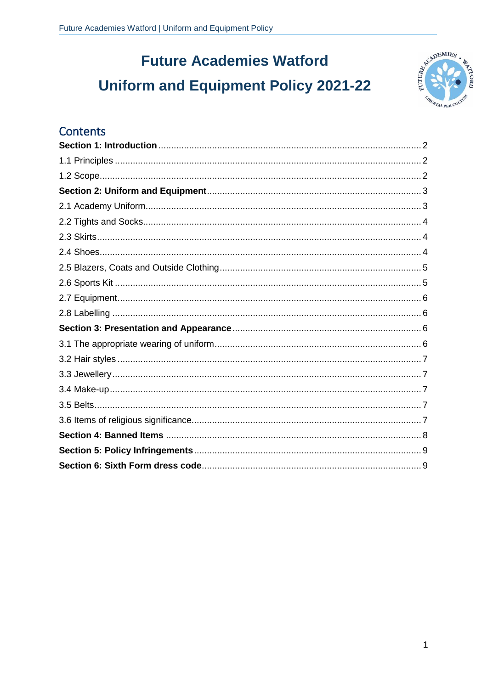# **Future Academies Watford Uniform and Equipment Policy 2021-22**



#### Contents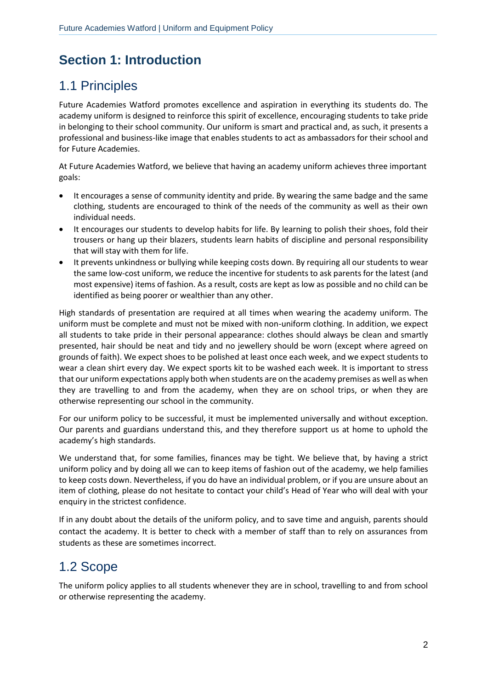# <span id="page-1-0"></span>**Section 1: Introduction**

## <span id="page-1-1"></span>1.1 Principles

Future Academies Watford promotes excellence and aspiration in everything its students do. The academy uniform is designed to reinforce this spirit of excellence, encouraging students to take pride in belonging to their school community. Our uniform is smart and practical and, as such, it presents a professional and business-like image that enables students to act as ambassadors for their school and for Future Academies.

At Future Academies Watford, we believe that having an academy uniform achieves three important goals:

- It encourages a sense of community identity and pride. By wearing the same badge and the same clothing, students are encouraged to think of the needs of the community as well as their own individual needs.
- It encourages our students to develop habits for life. By learning to polish their shoes, fold their trousers or hang up their blazers, students learn habits of discipline and personal responsibility that will stay with them for life.
- It prevents unkindness or bullying while keeping costs down. By requiring all our students to wear the same low-cost uniform, we reduce the incentive for students to ask parents for the latest (and most expensive) items of fashion. As a result, costs are kept as low as possible and no child can be identified as being poorer or wealthier than any other.

High standards of presentation are required at all times when wearing the academy uniform. The uniform must be complete and must not be mixed with non-uniform clothing. In addition, we expect all students to take pride in their personal appearance: clothes should always be clean and smartly presented, hair should be neat and tidy and no jewellery should be worn (except where agreed on grounds of faith). We expect shoes to be polished at least once each week, and we expect students to wear a clean shirt every day. We expect sports kit to be washed each week. It is important to stress that our uniform expectations apply both when students are on the academy premises as well as when they are travelling to and from the academy, when they are on school trips, or when they are otherwise representing our school in the community.

For our uniform policy to be successful, it must be implemented universally and without exception. Our parents and guardians understand this, and they therefore support us at home to uphold the academy's high standards.

We understand that, for some families, finances may be tight. We believe that, by having a strict uniform policy and by doing all we can to keep items of fashion out of the academy, we help families to keep costs down. Nevertheless, if you do have an individual problem, or if you are unsure about an item of clothing, please do not hesitate to contact your child's Head of Year who will deal with your enquiry in the strictest confidence.

If in any doubt about the details of the uniform policy, and to save time and anguish, parents should contact the academy. It is better to check with a member of staff than to rely on assurances from students as these are sometimes incorrect.

### <span id="page-1-2"></span>1.2 Scope

The uniform policy applies to all students whenever they are in school, travelling to and from school or otherwise representing the academy.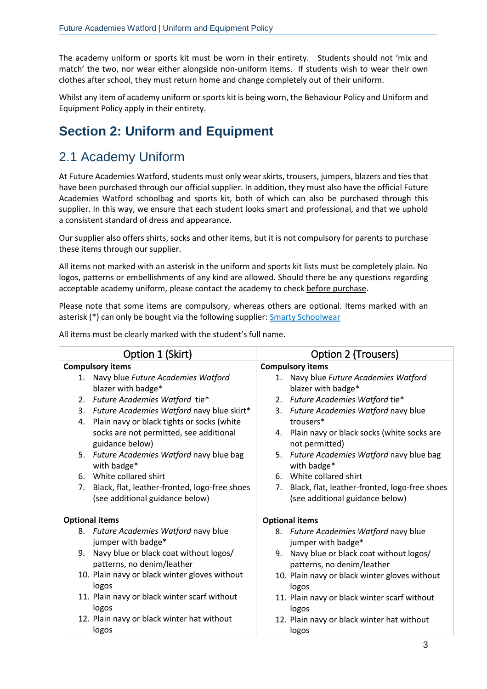The academy uniform or sports kit must be worn in their entirety. Students should not 'mix and match' the two, nor wear either alongside non-uniform items. If students wish to wear their own clothes after school, they must return home and change completely out of their uniform.

Whilst any item of academy uniform or sports kit is being worn, the Behaviour Policy and Uniform and Equipment Policy apply in their entirety.

### <span id="page-2-0"></span>**Section 2: Uniform and Equipment**

#### <span id="page-2-1"></span>2.1 Academy Uniform

At Future Academies Watford, students must only wear skirts, trousers, jumpers, blazers and ties that have been purchased through our official supplier. In addition, they must also have the official Future Academies Watford schoolbag and sports kit, both of which can also be purchased through this supplier. In this way, we ensure that each student looks smart and professional, and that we uphold a consistent standard of dress and appearance.

Our supplier also offers shirts, socks and other items, but it is not compulsory for parents to purchase these items through our supplier.

All items not marked with an asterisk in the uniform and sports kit lists must be completely plain. No logos, patterns or embellishments of any kind are allowed. Should there be any questions regarding acceptable academy uniform, please contact the academy to check before purchase.

Please note that some items are compulsory, whereas others are optional. Items marked with an asterisk (\*) can only be bought via the following supplier: **[Smarty Schoolwear](https://www.smartyschoolwear.co.uk/secondary-schools-c23/futures-academies-watford-c497)** 

All items must be clearly marked with the student's full name.

| Option 1 (Skirt)                                                           | Option 2 (Trousers)                                                        |  |  |
|----------------------------------------------------------------------------|----------------------------------------------------------------------------|--|--|
| <b>Compulsory items</b>                                                    | <b>Compulsory items</b>                                                    |  |  |
| Navy blue Future Academies Watford<br>1.                                   | 1. Navy blue Future Academies Watford                                      |  |  |
| blazer with badge*                                                         | blazer with badge*                                                         |  |  |
| Future Academies Watford tie*<br>2.                                        | 2. Future Academies Watford tie*                                           |  |  |
| Future Academies Watford navy blue skirt*<br>3.                            | Future Academies Watford navy blue<br>3.                                   |  |  |
| Plain navy or black tights or socks (white<br>4.                           | trousers*                                                                  |  |  |
| socks are not permitted, see additional<br>guidance below)                 | 4. Plain navy or black socks (white socks are<br>not permitted)            |  |  |
| 5. Future Academies Watford navy blue bag<br>with badge*                   | Future Academies Watford navy blue bag<br>5.<br>with badge*                |  |  |
| White collared shirt<br>6.                                                 | White collared shirt<br>6.                                                 |  |  |
| Black, flat, leather-fronted, logo-free shoes<br>7.                        | Black, flat, leather-fronted, logo-free shoes<br>7.                        |  |  |
| (see additional guidance below)                                            | (see additional guidance below)                                            |  |  |
| <b>Optional items</b>                                                      | <b>Optional items</b>                                                      |  |  |
| 8. Future Academies Watford navy blue<br>jumper with badge*                | 8. Future Academies Watford navy blue<br>jumper with badge*                |  |  |
| Navy blue or black coat without logos/<br>9.<br>patterns, no denim/leather | Navy blue or black coat without logos/<br>9.<br>patterns, no denim/leather |  |  |
| 10. Plain navy or black winter gloves without<br>logos                     | 10. Plain navy or black winter gloves without<br>logos                     |  |  |
| 11. Plain navy or black winter scarf without                               | 11. Plain navy or black winter scarf without                               |  |  |
| logos                                                                      | logos                                                                      |  |  |
| 12. Plain navy or black winter hat without                                 | 12. Plain navy or black winter hat without                                 |  |  |
| logos                                                                      | logos                                                                      |  |  |
|                                                                            | $\sim$                                                                     |  |  |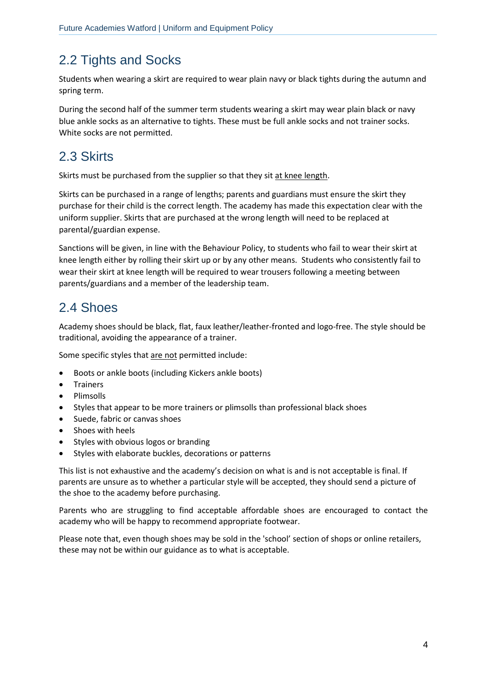# <span id="page-3-0"></span>2.2 Tights and Socks

Students when wearing a skirt are required to wear plain navy or black tights during the autumn and spring term.

During the second half of the summer term students wearing a skirt may wear plain black or navy blue ankle socks as an alternative to tights. These must be full ankle socks and not trainer socks. White socks are not permitted.

### <span id="page-3-1"></span>2.3 Skirts

Skirts must be purchased from the supplier so that they sit at knee length.

Skirts can be purchased in a range of lengths; parents and guardians must ensure the skirt they purchase for their child is the correct length. The academy has made this expectation clear with the uniform supplier. Skirts that are purchased at the wrong length will need to be replaced at parental/guardian expense.

Sanctions will be given, in line with the Behaviour Policy, to students who fail to wear their skirt at knee length either by rolling their skirt up or by any other means. Students who consistently fail to wear their skirt at knee length will be required to wear trousers following a meeting between parents/guardians and a member of the leadership team.

### <span id="page-3-2"></span>2.4 Shoes

Academy shoes should be black, flat, faux leather/leather-fronted and logo-free. The style should be traditional, avoiding the appearance of a trainer.

Some specific styles that are not permitted include:

- Boots or ankle boots (including Kickers ankle boots)
- Trainers
- Plimsolls
- Styles that appear to be more trainers or plimsolls than professional black shoes
- Suede, fabric or canvas shoes
- Shoes with heels
- Styles with obvious logos or branding
- Styles with elaborate buckles, decorations or patterns

This list is not exhaustive and the academy's decision on what is and is not acceptable is final. If parents are unsure as to whether a particular style will be accepted, they should send a picture of the shoe to the academy before purchasing.

Parents who are struggling to find acceptable affordable shoes are encouraged to contact the academy who will be happy to recommend appropriate footwear.

Please note that, even though shoes may be sold in the 'school' section of shops or online retailers, these may not be within our guidance as to what is acceptable.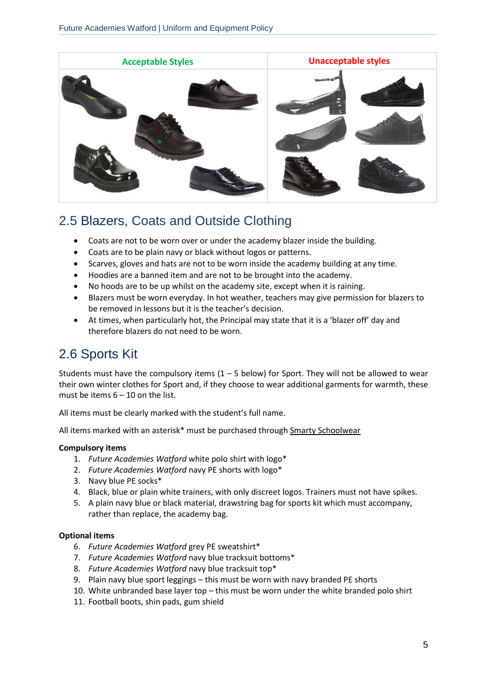

#### <span id="page-4-0"></span>2.5 Blazers, Coats and Outside Clothing

- Coats are not to be worn over or under the academy blazer inside the building.
- Coats are to be plain navy or black without logos or patterns.
- Scarves, gloves and hats are not to be worn inside the academy building at any time.
- Hoodies are a banned item and are not to be brought into the academy.
- No hoods are to be up whilst on the academy site, except when it is raining.
- Blazers must be worn everyday. In hot weather, teachers may give permission for blazers to be removed in lessons but it is the teacher's decision.
- At times, when particularly hot, the Principal may state that it is a 'blazer off' day and therefore blazers do not need to be worn.

### <span id="page-4-1"></span>2.6 Sports Kit

Students must have the compulsory items  $(1 - 5$  below) for Sport. They will not be allowed to wear their own winter clothes for Sport and, if they choose to wear additional garments for warmth, these must be items  $6 - 10$  on the list.

All items must be clearly marked with the student's full name.

All items marked with an asterisk\* must be purchased through [Smarty Schoolwear](https://www.smartyschoolwear.co.uk/secondary-schools-c23/futures-academies-watford-c497) 

#### **Compulsory items**

- 1. *Future Academies Watford* white polo shirt with logo\*
- 2. *Future Academies Watford* navy PE shorts with logo\*
- 3. Navy blue PE socks\*
- 4. Black, blue or plain white trainers, with only discreet logos. Trainers must not have spikes.
- 5. A plain navy blue or black material, drawstring bag for sports kit which must accompany, rather than replace, the academy bag.

#### **Optional items**

- 6. *Future Academies Watford* grey PE sweatshirt\*
- 7. *Future Academies Watford* navy blue tracksuit bottoms\*
- 8. *Future Academies Watford* navy blue tracksuit top\*
- 9. Plain navy blue sport leggings this must be worn with navy branded PE shorts
- 10. White unbranded base layer top this must be worn under the white branded polo shirt
- 11. Football boots, shin pads, gum shield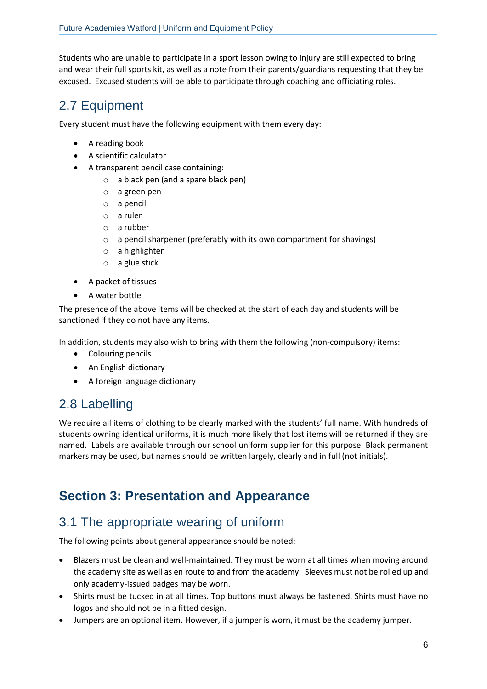Students who are unable to participate in a sport lesson owing to injury are still expected to bring and wear their full sports kit, as well as a note from their parents/guardians requesting that they be excused. Excused students will be able to participate through coaching and officiating roles.

#### <span id="page-5-0"></span>2.7 Equipment

Every student must have the following equipment with them every day:

- A reading book
- A scientific calculator
- A transparent pencil case containing:
	- o a black pen (and a spare black pen)
	- o a green pen
	- o a pencil
	- o a ruler
	- o a rubber
	- o a pencil sharpener (preferably with its own compartment for shavings)
	- o a highlighter
	- o a glue stick
- A packet of tissues
- A water bottle

The presence of the above items will be checked at the start of each day and students will be sanctioned if they do not have any items.

In addition, students may also wish to bring with them the following (non-compulsory) items:

- Colouring pencils
- An English dictionary
- A foreign language dictionary

#### <span id="page-5-1"></span>2.8 Labelling

We require all items of clothing to be clearly marked with the students' full name. With hundreds of students owning identical uniforms, it is much more likely that lost items will be returned if they are named. Labels are available through our school uniform supplier for this purpose. Black permanent markers may be used, but names should be written largely, clearly and in full (not initials).

#### <span id="page-5-2"></span>**Section 3: Presentation and Appearance**

### <span id="page-5-3"></span>3.1 The appropriate wearing of uniform

The following points about general appearance should be noted:

- Blazers must be clean and well-maintained. They must be worn at all times when moving around the academy site as well as en route to and from the academy. Sleeves must not be rolled up and only academy-issued badges may be worn.
- Shirts must be tucked in at all times. Top buttons must always be fastened. Shirts must have no logos and should not be in a fitted design.
- Jumpers are an optional item. However, if a jumper is worn, it must be the academy jumper.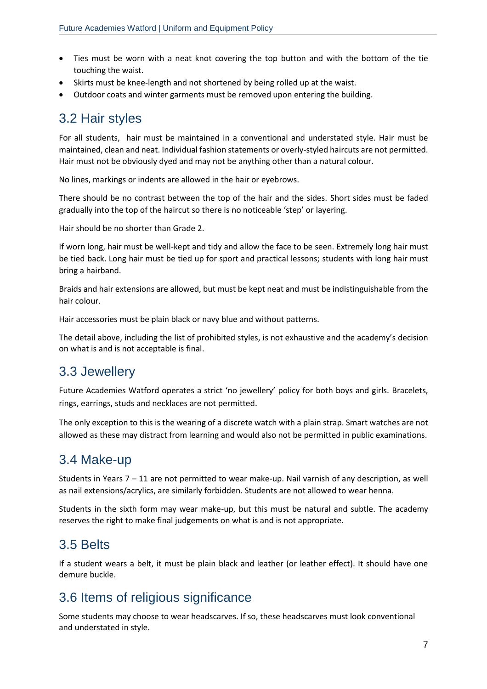- Ties must be worn with a neat knot covering the top button and with the bottom of the tie touching the waist.
- Skirts must be knee-length and not shortened by being rolled up at the waist.
- Outdoor coats and winter garments must be removed upon entering the building.

#### <span id="page-6-0"></span>3.2 Hair styles

For all students, hair must be maintained in a conventional and understated style. Hair must be maintained, clean and neat. Individual fashion statements or overly-styled haircuts are not permitted. Hair must not be obviously dyed and may not be anything other than a natural colour.

No lines, markings or indents are allowed in the hair or eyebrows.

There should be no contrast between the top of the hair and the sides. Short sides must be faded gradually into the top of the haircut so there is no noticeable 'step' or layering.

Hair should be no shorter than Grade 2.

If worn long, hair must be well-kept and tidy and allow the face to be seen. Extremely long hair must be tied back. Long hair must be tied up for sport and practical lessons; students with long hair must bring a hairband.

Braids and hair extensions are allowed, but must be kept neat and must be indistinguishable from the hair colour.

Hair accessories must be plain black or navy blue and without patterns.

The detail above, including the list of prohibited styles, is not exhaustive and the academy's decision on what is and is not acceptable is final.

#### <span id="page-6-1"></span>3.3 Jewellery

Future Academies Watford operates a strict 'no jewellery' policy for both boys and girls. Bracelets, rings, earrings, studs and necklaces are not permitted.

The only exception to this is the wearing of a discrete watch with a plain strap. Smart watches are not allowed as these may distract from learning and would also not be permitted in public examinations.

#### <span id="page-6-2"></span>3.4 Make-up

Students in Years 7 – 11 are not permitted to wear make-up. Nail varnish of any description, as well as nail extensions/acrylics, are similarly forbidden. Students are not allowed to wear henna.

Students in the sixth form may wear make-up, but this must be natural and subtle. The academy reserves the right to make final judgements on what is and is not appropriate.

#### <span id="page-6-3"></span>3.5 Belts

If a student wears a belt, it must be plain black and leather (or leather effect). It should have one demure buckle.

#### <span id="page-6-4"></span>3.6 Items of religious significance

Some students may choose to wear headscarves. If so, these headscarves must look conventional and understated in style.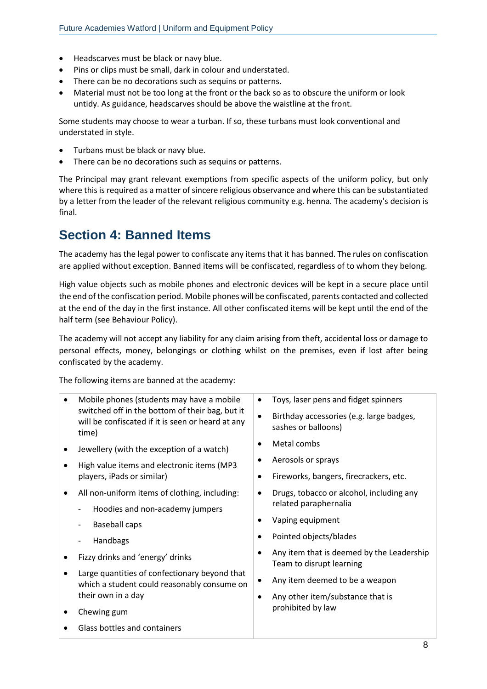- Headscarves must be black or navy blue.
- Pins or clips must be small, dark in colour and understated.
- There can be no decorations such as sequins or patterns.
- Material must not be too long at the front or the back so as to obscure the uniform or look untidy. As guidance, headscarves should be above the waistline at the front.

Some students may choose to wear a turban. If so, these turbans must look conventional and understated in style.

- Turbans must be black or navy blue.
- There can be no decorations such as sequins or patterns.

The Principal may grant relevant exemptions from specific aspects of the uniform policy, but only where this is required as a matter of sincere religious observance and where this can be substantiated by a letter from the leader of the relevant religious community e.g. henna. The academy's decision is final.

#### <span id="page-7-0"></span>**Section 4: Banned Items**

The academy has the legal power to confiscate any items that it has banned. The rules on confiscation are applied without exception. Banned items will be confiscated, regardless of to whom they belong.

High value objects such as mobile phones and electronic devices will be kept in a secure place until the end of the confiscation period. Mobile phones will be confiscated, parents contacted and collected at the end of the day in the first instance. All other confiscated items will be kept until the end of the half term (see Behaviour Policy).

The academy will not accept any liability for any claim arising from theft, accidental loss or damage to personal effects, money, belongings or clothing whilst on the premises, even if lost after being confiscated by the academy.

The following items are banned at the academy:

|   | Mobile phones (students may have a mobile<br>switched off in the bottom of their bag, but it<br>will be confiscated if it is seen or heard at any<br>time) | Toys, laser pens and fidget spinners<br>$\bullet$<br>Birthday accessories (e.g. large badges,<br>$\bullet$<br>sashes or balloons)                     |
|---|------------------------------------------------------------------------------------------------------------------------------------------------------------|-------------------------------------------------------------------------------------------------------------------------------------------------------|
| ٠ | Jewellery (with the exception of a watch)<br>High value items and electronic items (MP3<br>players, iPads or similar)                                      | Metal combs<br>Aerosols or sprays<br>Fireworks, bangers, firecrackers, etc.<br>$\bullet$                                                              |
| ٠ | All non-uniform items of clothing, including:<br>Hoodies and non-academy jumpers<br><b>Baseball caps</b><br>Handbags                                       | Drugs, tobacco or alcohol, including any<br>related paraphernalia<br>Vaping equipment<br>Pointed objects/blades                                       |
|   | Fizzy drinks and 'energy' drinks<br>Large quantities of confectionary beyond that<br>which a student could reasonably consume on<br>their own in a day     | Any item that is deemed by the Leadership<br>Team to disrupt learning<br>Any item deemed to be a weapon<br>٠<br>Any other item/substance that is<br>٠ |
|   | Chewing gum<br>Glass bottles and containers                                                                                                                | prohibited by law                                                                                                                                     |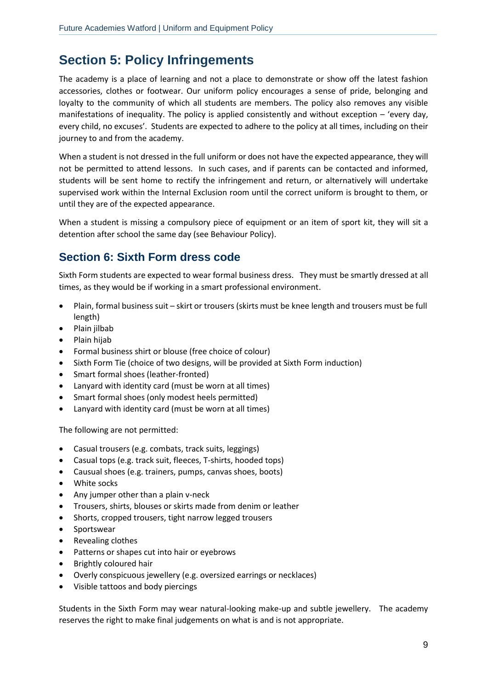# <span id="page-8-0"></span>**Section 5: Policy Infringements**

The academy is a place of learning and not a place to demonstrate or show off the latest fashion accessories, clothes or footwear. Our uniform policy encourages a sense of pride, belonging and loyalty to the community of which all students are members. The policy also removes any visible manifestations of inequality. The policy is applied consistently and without exception – 'every day, every child, no excuses'. Students are expected to adhere to the policy at all times, including on their journey to and from the academy.

When a student is not dressed in the full uniform or does not have the expected appearance, they will not be permitted to attend lessons. In such cases, and if parents can be contacted and informed, students will be sent home to rectify the infringement and return, or alternatively will undertake supervised work within the Internal Exclusion room until the correct uniform is brought to them, or until they are of the expected appearance.

When a student is missing a compulsory piece of equipment or an item of sport kit, they will sit a detention after school the same day (see Behaviour Policy).

#### <span id="page-8-1"></span>**Section 6: Sixth Form dress code**

Sixth Form students are expected to wear formal business dress. They must be smartly dressed at all times, as they would be if working in a smart professional environment.

- Plain, formal business suit skirt or trousers (skirts must be knee length and trousers must be full length)
- Plain jilbab
- Plain hijab
- Formal business shirt or blouse (free choice of colour)
- Sixth Form Tie (choice of two designs, will be provided at Sixth Form induction)
- Smart formal shoes (leather-fronted)
- Lanyard with identity card (must be worn at all times)
- Smart formal shoes (only modest heels permitted)
- Lanyard with identity card (must be worn at all times)

The following are not permitted:

- Casual trousers (e.g. combats, track suits, leggings)
- Casual tops (e.g. track suit, fleeces, T-shirts, hooded tops)
- Causual shoes (e.g. trainers, pumps, canvas shoes, boots)
- White socks
- Any jumper other than a plain v-neck
- Trousers, shirts, blouses or skirts made from denim or leather
- Shorts, cropped trousers, tight narrow legged trousers
- Sportswear
- Revealing clothes
- Patterns or shapes cut into hair or eyebrows
- Brightly coloured hair
- Overly conspicuous jewellery (e.g. oversized earrings or necklaces)
- Visible tattoos and body piercings

Students in the Sixth Form may wear natural-looking make-up and subtle jewellery. The academy reserves the right to make final judgements on what is and is not appropriate.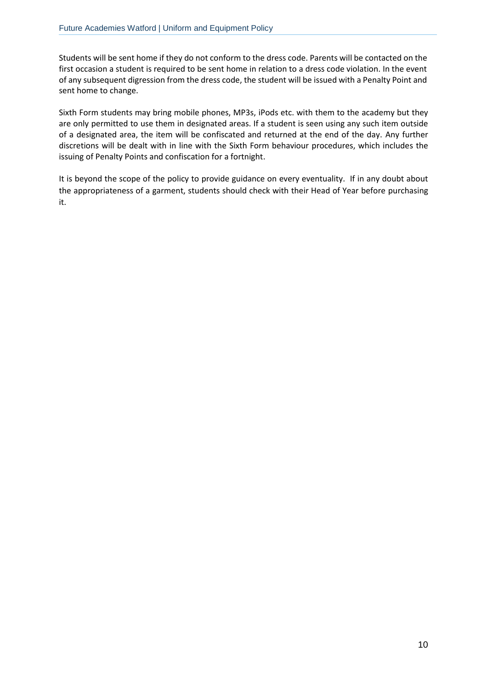Students will be sent home if they do not conform to the dress code. Parents will be contacted on the first occasion a student is required to be sent home in relation to a dress code violation. In the event of any subsequent digression from the dress code, the student will be issued with a Penalty Point and sent home to change.

Sixth Form students may bring mobile phones, MP3s, iPods etc. with them to the academy but they are only permitted to use them in designated areas. If a student is seen using any such item outside of a designated area, the item will be confiscated and returned at the end of the day. Any further discretions will be dealt with in line with the Sixth Form behaviour procedures, which includes the issuing of Penalty Points and confiscation for a fortnight.

It is beyond the scope of the policy to provide guidance on every eventuality. If in any doubt about the appropriateness of a garment, students should check with their Head of Year before purchasing it.